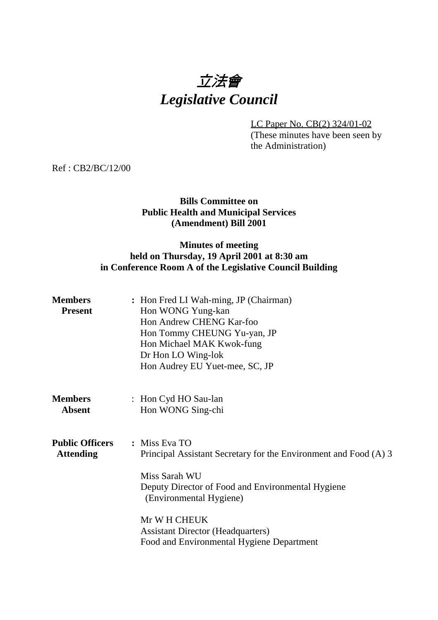# 立法會 *Legislative Council*

LC Paper No. CB(2) 324/01-02 (These minutes have been seen by the Administration)

Ref : CB2/BC/12/00

# **Bills Committee on Public Health and Municipal Services (Amendment) Bill 2001**

# **Minutes of meeting held on Thursday, 19 April 2001 at 8:30 am in Conference Room A of the Legislative Council Building**

| <b>Members</b><br><b>Present</b>           | : Hon Fred LI Wah-ming, JP (Chairman)<br>Hon WONG Yung-kan<br>Hon Andrew CHENG Kar-foo<br>Hon Tommy CHEUNG Yu-yan, JP<br>Hon Michael MAK Kwok-fung<br>Dr Hon LO Wing-lok<br>Hon Audrey EU Yuet-mee, SC, JP |
|--------------------------------------------|------------------------------------------------------------------------------------------------------------------------------------------------------------------------------------------------------------|
| <b>Members</b><br><b>Absent</b>            | : Hon Cyd HO Sau-lan<br>Hon WONG Sing-chi                                                                                                                                                                  |
| <b>Public Officers</b><br><b>Attending</b> | : Miss Eva TO<br>Principal Assistant Secretary for the Environment and Food (A) 3<br>Miss Sarah WU<br>Deputy Director of Food and Environmental Hygiene<br>(Environmental Hygiene)                         |
|                                            | Mr W H CHEUK<br><b>Assistant Director (Headquarters)</b><br>Food and Environmental Hygiene Department                                                                                                      |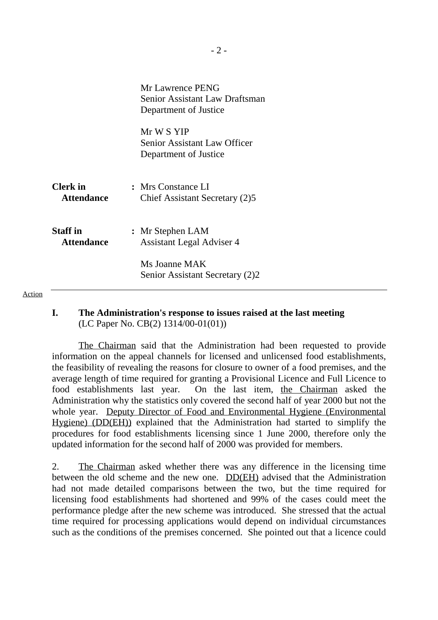|                                      | Mr Lawrence PENG<br><b>Senior Assistant Law Draftsman</b><br>Department of Justice |
|--------------------------------------|------------------------------------------------------------------------------------|
|                                      | Mr W S YIP<br>Senior Assistant Law Officer<br>Department of Justice                |
| <b>Clerk</b> in<br><b>Attendance</b> | : Mrs Constance LI<br>Chief Assistant Secretary (2)5                               |
| <b>Staff</b> in<br><b>Attendance</b> | : Mr Stephen LAM<br><b>Assistant Legal Adviser 4</b>                               |
|                                      | Ms Joanne MAK<br>Senior Assistant Secretary (2)2                                   |

#### Action

### **I. The Administration's response to issues raised at the last meeting** (LC Paper No. CB(2) 1314/00-01(01))

1 The Chairman said that the Administration had been requested to provide information on the appeal channels for licensed and unlicensed food establishments, the feasibility of revealing the reasons for closure to owner of a food premises, and the average length of time required for granting a Provisional Licence and Full Licence to food establishments last year. On the last item, the Chairman asked the Administration why the statistics only covered the second half of year 2000 but not the whole year. Deputy Director of Food and Environmental Hygiene (Environmental Hygiene) (DD(EH)) explained that the Administration had started to simplify the procedures for food establishments licensing since 1 June 2000, therefore only the updated information for the second half of 2000 was provided for members.

2. The Chairman asked whether there was any difference in the licensing time between the old scheme and the new one. DD(EH) advised that the Administration had not made detailed comparisons between the two, but the time required for licensing food establishments had shortened and 99% of the cases could meet the performance pledge after the new scheme was introduced. She stressed that the actual time required for processing applications would depend on individual circumstances such as the conditions of the premises concerned. She pointed out that a licence could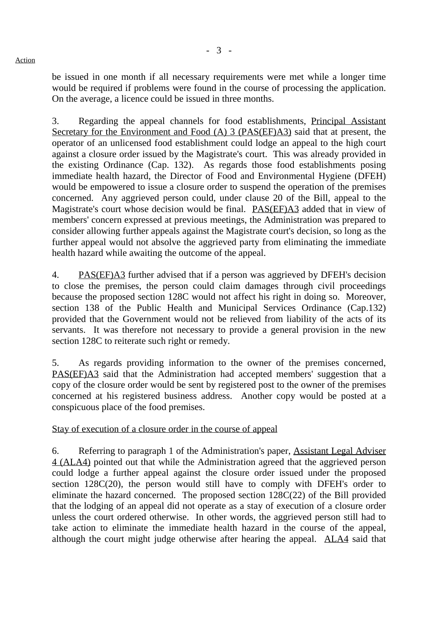be issued in one month if all necessary requirements were met while a longer time would be required if problems were found in the course of processing the application. On the average, a licence could be issued in three months.

3. Regarding the appeal channels for food establishments, Principal Assistant Secretary for the Environment and Food (A) 3 (PAS(EF)A3) said that at present, the operator of an unlicensed food establishment could lodge an appeal to the high court against a closure order issued by the Magistrate's court. This was already provided in the existing Ordinance (Cap. 132). As regards those food establishments posing immediate health hazard, the Director of Food and Environmental Hygiene (DFEH) would be empowered to issue a closure order to suspend the operation of the premises concerned. Any aggrieved person could, under clause 20 of the Bill, appeal to the Magistrate's court whose decision would be final. PAS(EF)A3 added that in view of members' concern expressed at previous meetings, the Administration was prepared to consider allowing further appeals against the Magistrate court's decision, so long as the further appeal would not absolve the aggrieved party from eliminating the immediate health hazard while awaiting the outcome of the appeal.

4. PAS(EF)A3 further advised that if a person was aggrieved by DFEH's decision to close the premises, the person could claim damages through civil proceedings because the proposed section 128C would not affect his right in doing so. Moreover, section 138 of the Public Health and Municipal Services Ordinance (Cap.132) provided that the Government would not be relieved from liability of the acts of its servants. It was therefore not necessary to provide a general provision in the new section 128C to reiterate such right or remedy.

5. As regards providing information to the owner of the premises concerned, PAS(EF)A3 said that the Administration had accepted members' suggestion that a copy of the closure order would be sent by registered post to the owner of the premises concerned at his registered business address. Another copy would be posted at a conspicuous place of the food premises.

# Stay of execution of a closure order in the course of appeal

6. Referring to paragraph 1 of the Administration's paper, Assistant Legal Adviser 4 (ALA4) pointed out that while the Administration agreed that the aggrieved person could lodge a further appeal against the closure order issued under the proposed section 128C(20), the person would still have to comply with DFEH's order to eliminate the hazard concerned. The proposed section 128C(22) of the Bill provided that the lodging of an appeal did not operate as a stay of execution of a closure order unless the court ordered otherwise. In other words, the aggrieved person still had to take action to eliminate the immediate health hazard in the course of the appeal, although the court might judge otherwise after hearing the appeal. ALA4 said that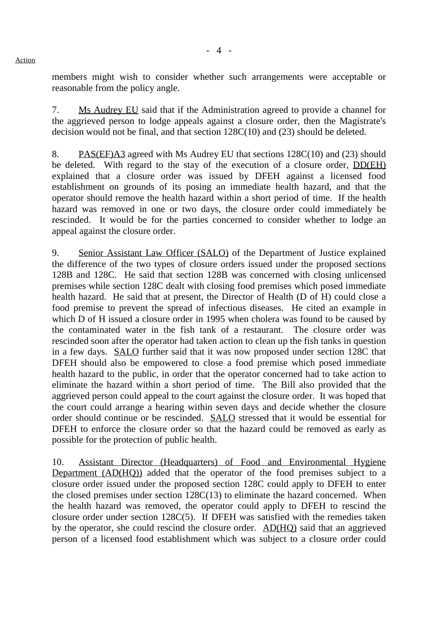members might wish to consider whether such arrangements were acceptable or reasonable from the policy angle.

7. Ms Audrey EU said that if the Administration agreed to provide a channel for the aggrieved person to lodge appeals against a closure order, then the Magistrate's decision would not be final, and that section 128C(10) and (23) should be deleted.

8. PAS(EF)A3 agreed with Ms Audrey EU that sections 128C(10) and (23) should be deleted. With regard to the stay of the execution of a closure order, DD(EH) explained that a closure order was issued by DFEH against a licensed food establishment on grounds of its posing an immediate health hazard, and that the operator should remove the health hazard within a short period of time. If the health hazard was removed in one or two days, the closure order could immediately be rescinded. It would be for the parties concerned to consider whether to lodge an appeal against the closure order.

9. Senior Assistant Law Officer (SALO) of the Department of Justice explained the difference of the two types of closure orders issued under the proposed sections 128B and 128C. He said that section 128B was concerned with closing unlicensed premises while section 128C dealt with closing food premises which posed immediate health hazard. He said that at present, the Director of Health (D of H) could close a food premise to prevent the spread of infectious diseases. He cited an example in which D of H issued a closure order in 1995 when cholera was found to be caused by the contaminated water in the fish tank of a restaurant. The closure order was rescinded soon after the operator had taken action to clean up the fish tanks in question in a few days. SALO further said that it was now proposed under section 128C that DFEH should also be empowered to close a food premise which posed immediate health hazard to the public, in order that the operator concerned had to take action to eliminate the hazard within a short period of time. The Bill also provided that the aggrieved person could appeal to the court against the closure order. It was hoped that the court could arrange a hearing within seven days and decide whether the closure order should continue or be rescinded. SALO stressed that it would be essential for DFEH to enforce the closure order so that the hazard could be removed as early as possible for the protection of public health.

10. Assistant Director (Headquarters) of Food and Environmental Hygiene Department (AD(HQ)) added that the operator of the food premises subject to a closure order issued under the proposed section 128C could apply to DFEH to enter the closed premises under section 128C(13) to eliminate the hazard concerned. When the health hazard was removed, the operator could apply to DFEH to rescind the closure order under section 128C(5). If DFEH was satisfied with the remedies taken by the operator, she could rescind the closure order. AD(HQ) said that an aggrieved person of a licensed food establishment which was subject to a closure order could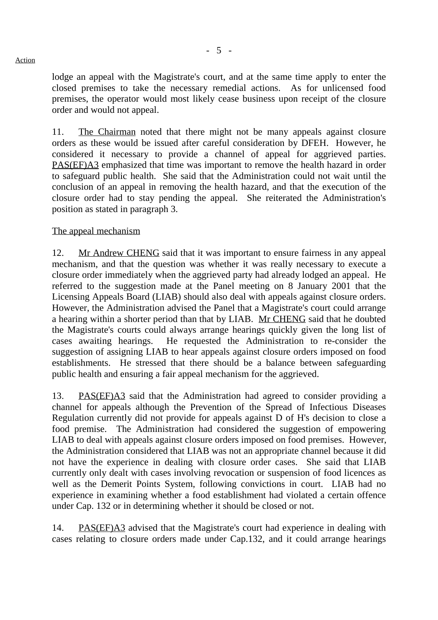lodge an appeal with the Magistrate's court, and at the same time apply to enter the closed premises to take the necessary remedial actions. As for unlicensed food premises, the operator would most likely cease business upon receipt of the closure order and would not appeal.

11. The Chairman noted that there might not be many appeals against closure orders as these would be issued after careful consideration by DFEH. However, he considered it necessary to provide a channel of appeal for aggrieved parties. PAS(EF)A3 emphasized that time was important to remove the health hazard in order to safeguard public health. She said that the Administration could not wait until the conclusion of an appeal in removing the health hazard, and that the execution of the closure order had to stay pending the appeal. She reiterated the Administration's position as stated in paragraph 3.

# The appeal mechanism

12. Mr Andrew CHENG said that it was important to ensure fairness in any appeal mechanism, and that the question was whether it was really necessary to execute a closure order immediately when the aggrieved party had already lodged an appeal. He referred to the suggestion made at the Panel meeting on 8 January 2001 that the Licensing Appeals Board (LIAB) should also deal with appeals against closure orders. However, the Administration advised the Panel that a Magistrate's court could arrange a hearing within a shorter period than that by LIAB. Mr CHENG said that he doubted the Magistrate's courts could always arrange hearings quickly given the long list of cases awaiting hearings. He requested the Administration to re-consider the suggestion of assigning LIAB to hear appeals against closure orders imposed on food establishments. He stressed that there should be a balance between safeguarding public health and ensuring a fair appeal mechanism for the aggrieved.

13. PAS(EF)A3 said that the Administration had agreed to consider providing a channel for appeals although the Prevention of the Spread of Infectious Diseases Regulation currently did not provide for appeals against D of H's decision to close a food premise. The Administration had considered the suggestion of empowering LIAB to deal with appeals against closure orders imposed on food premises. However, the Administration considered that LIAB was not an appropriate channel because it did not have the experience in dealing with closure order cases. She said that LIAB currently only dealt with cases involving revocation or suspension of food licences as well as the Demerit Points System, following convictions in court. LIAB had no experience in examining whether a food establishment had violated a certain offence under Cap. 132 or in determining whether it should be closed or not.

14. PAS(EF)A3 advised that the Magistrate's court had experience in dealing with cases relating to closure orders made under Cap.132, and it could arrange hearings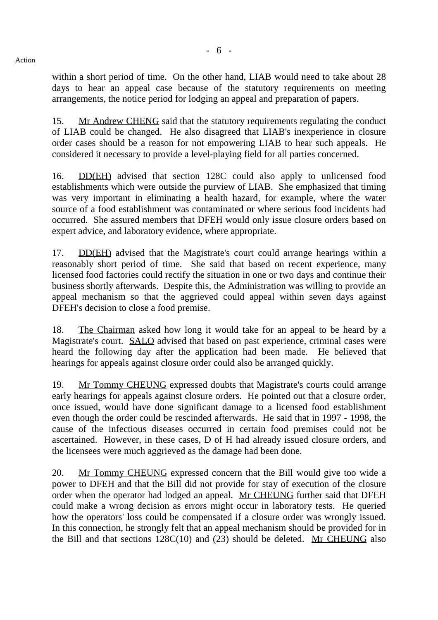within a short period of time. On the other hand, LIAB would need to take about 28 days to hear an appeal case because of the statutory requirements on meeting arrangements, the notice period for lodging an appeal and preparation of papers.

15. Mr Andrew CHENG said that the statutory requirements regulating the conduct of LIAB could be changed. He also disagreed that LIAB's inexperience in closure order cases should be a reason for not empowering LIAB to hear such appeals. He considered it necessary to provide a level-playing field for all parties concerned.

16. DD(EH) advised that section 128C could also apply to unlicensed food establishments which were outside the purview of LIAB. She emphasized that timing was very important in eliminating a health hazard, for example, where the water source of a food establishment was contaminated or where serious food incidents had occurred. She assured members that DFEH would only issue closure orders based on expert advice, and laboratory evidence, where appropriate.

17. DD(EH) advised that the Magistrate's court could arrange hearings within a reasonably short period of time. She said that based on recent experience, many licensed food factories could rectify the situation in one or two days and continue their business shortly afterwards. Despite this, the Administration was willing to provide an appeal mechanism so that the aggrieved could appeal within seven days against DFEH's decision to close a food premise.

18. The Chairman asked how long it would take for an appeal to be heard by a Magistrate's court. SALO advised that based on past experience, criminal cases were heard the following day after the application had been made. He believed that hearings for appeals against closure order could also be arranged quickly.

19. Mr Tommy CHEUNG expressed doubts that Magistrate's courts could arrange early hearings for appeals against closure orders. He pointed out that a closure order, once issued, would have done significant damage to a licensed food establishment even though the order could be rescinded afterwards. He said that in 1997 - 1998, the cause of the infectious diseases occurred in certain food premises could not be ascertained. However, in these cases, D of H had already issued closure orders, and the licensees were much aggrieved as the damage had been done.

20. Mr Tommy CHEUNG expressed concern that the Bill would give too wide a power to DFEH and that the Bill did not provide for stay of execution of the closure order when the operator had lodged an appeal. Mr CHEUNG further said that DFEH could make a wrong decision as errors might occur in laboratory tests. He queried how the operators' loss could be compensated if a closure order was wrongly issued. In this connection, he strongly felt that an appeal mechanism should be provided for in the Bill and that sections  $128C(10)$  and (23) should be deleted. Mr CHEUNG also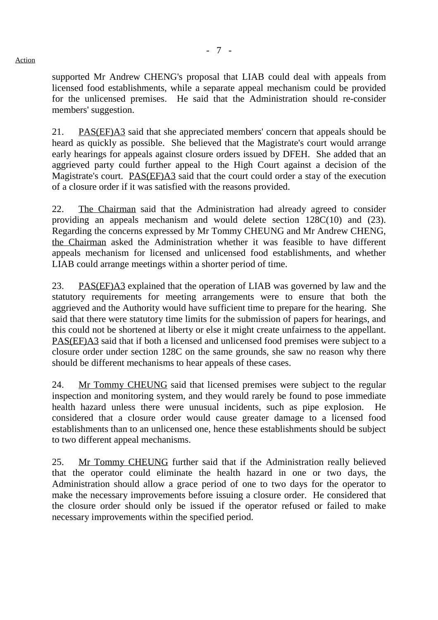supported Mr Andrew CHENG's proposal that LIAB could deal with appeals from licensed food establishments, while a separate appeal mechanism could be provided for the unlicensed premises. He said that the Administration should re-consider members' suggestion.

21. PAS(EF)A3 said that she appreciated members' concern that appeals should be heard as quickly as possible. She believed that the Magistrate's court would arrange early hearings for appeals against closure orders issued by DFEH. She added that an aggrieved party could further appeal to the High Court against a decision of the Magistrate's court. PAS(EF)A3 said that the court could order a stay of the execution of a closure order if it was satisfied with the reasons provided.

22. The Chairman said that the Administration had already agreed to consider providing an appeals mechanism and would delete section 128C(10) and (23). Regarding the concerns expressed by Mr Tommy CHEUNG and Mr Andrew CHENG, the Chairman asked the Administration whether it was feasible to have different appeals mechanism for licensed and unlicensed food establishments, and whether LIAB could arrange meetings within a shorter period of time.

23. PAS(EF)A3 explained that the operation of LIAB was governed by law and the statutory requirements for meeting arrangements were to ensure that both the aggrieved and the Authority would have sufficient time to prepare for the hearing. She said that there were statutory time limits for the submission of papers for hearings, and this could not be shortened at liberty or else it might create unfairness to the appellant. PAS(EF)A3 said that if both a licensed and unlicensed food premises were subject to a closure order under section 128C on the same grounds, she saw no reason why there should be different mechanisms to hear appeals of these cases.

24. Mr Tommy CHEUNG said that licensed premises were subject to the regular inspection and monitoring system, and they would rarely be found to pose immediate health hazard unless there were unusual incidents, such as pipe explosion. considered that a closure order would cause greater damage to a licensed food establishments than to an unlicensed one, hence these establishments should be subject to two different appeal mechanisms.

25. Mr Tommy CHEUNG further said that if the Administration really believed that the operator could eliminate the health hazard in one or two days, the Administration should allow a grace period of one to two days for the operator to make the necessary improvements before issuing a closure order. He considered that the closure order should only be issued if the operator refused or failed to make necessary improvements within the specified period.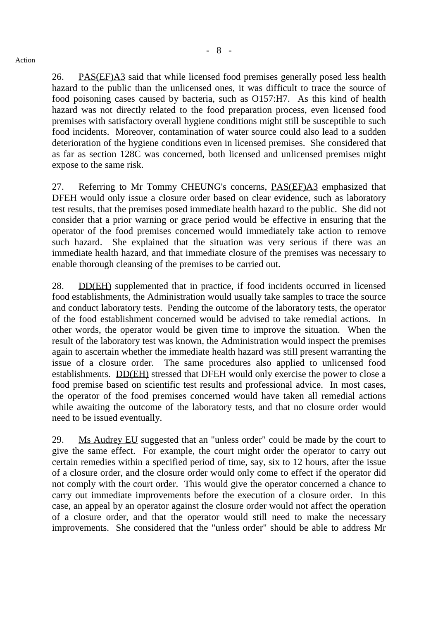26. PAS(EF)A3 said that while licensed food premises generally posed less health hazard to the public than the unlicensed ones, it was difficult to trace the source of food poisoning cases caused by bacteria, such as O157:H7. As this kind of health hazard was not directly related to the food preparation process, even licensed food premises with satisfactory overall hygiene conditions might still be susceptible to such food incidents. Moreover, contamination of water source could also lead to a sudden deterioration of the hygiene conditions even in licensed premises. She considered that as far as section 128C was concerned, both licensed and unlicensed premises might expose to the same risk.

27. Referring to Mr Tommy CHEUNG's concerns, PAS(EF)A3 emphasized that DFEH would only issue a closure order based on clear evidence, such as laboratory test results, that the premises posed immediate health hazard to the public. She did not consider that a prior warning or grace period would be effective in ensuring that the operator of the food premises concerned would immediately take action to remove such hazard. She explained that the situation was very serious if there was an immediate health hazard, and that immediate closure of the premises was necessary to enable thorough cleansing of the premises to be carried out.

28. DD(EH) supplemented that in practice, if food incidents occurred in licensed food establishments, the Administration would usually take samples to trace the source and conduct laboratory tests. Pending the outcome of the laboratory tests, the operator of the food establishment concerned would be advised to take remedial actions. In other words, the operator would be given time to improve the situation. When the result of the laboratory test was known, the Administration would inspect the premises again to ascertain whether the immediate health hazard was still present warranting the issue of a closure order. The same procedures also applied to unlicensed food establishments. DD(EH) stressed that DFEH would only exercise the power to close a food premise based on scientific test results and professional advice. In most cases, the operator of the food premises concerned would have taken all remedial actions while awaiting the outcome of the laboratory tests, and that no closure order would need to be issued eventually.

29. Ms Audrey EU suggested that an "unless order" could be made by the court to give the same effect. For example, the court might order the operator to carry out certain remedies within a specified period of time, say, six to 12 hours, after the issue of a closure order, and the closure order would only come to effect if the operator did not comply with the court order. This would give the operator concerned a chance to carry out immediate improvements before the execution of a closure order. In this case, an appeal by an operator against the closure order would not affect the operation of a closure order, and that the operator would still need to make the necessary improvements. She considered that the "unless order" should be able to address Mr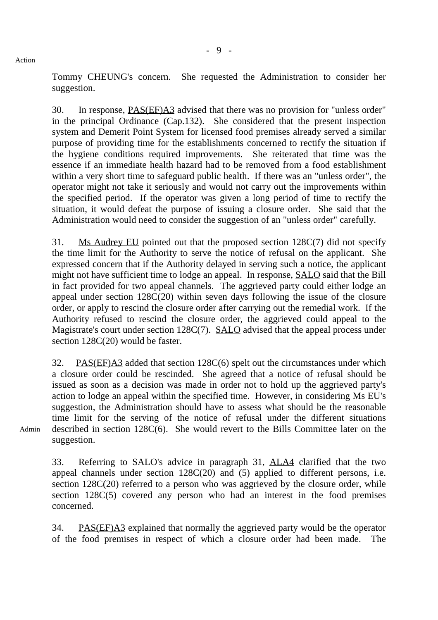Tommy CHEUNG's concern. She requested the Administration to consider her suggestion.

30. In response, PAS(EF)A3 advised that there was no provision for "unless order" in the principal Ordinance (Cap.132). She considered that the present inspection system and Demerit Point System for licensed food premises already served a similar purpose of providing time for the establishments concerned to rectify the situation if the hygiene conditions required improvements. She reiterated that time was the essence if an immediate health hazard had to be removed from a food establishment within a very short time to safeguard public health. If there was an "unless order", the operator might not take it seriously and would not carry out the improvements within the specified period. If the operator was given a long period of time to rectify the situation, it would defeat the purpose of issuing a closure order. She said that the Administration would need to consider the suggestion of an "unless order" carefully.

31. Ms Audrey EU pointed out that the proposed section 128C(7) did not specify the time limit for the Authority to serve the notice of refusal on the applicant. She expressed concern that if the Authority delayed in serving such a notice, the applicant might not have sufficient time to lodge an appeal. In response, **SALO** said that the Bill in fact provided for two appeal channels. The aggrieved party could either lodge an appeal under section 128C(20) within seven days following the issue of the closure order, or apply to rescind the closure order after carrying out the remedial work. If the Authority refused to rescind the closure order, the aggrieved could appeal to the Magistrate's court under section 128C(7). SALO advised that the appeal process under section 128C(20) would be faster.

32. PAS(EF)A3 added that section 128C(6) spelt out the circumstances under which a closure order could be rescinded. She agreed that a notice of refusal should be issued as soon as a decision was made in order not to hold up the aggrieved party's action to lodge an appeal within the specified time. However, in considering Ms EU's suggestion, the Administration should have to assess what should be the reasonable time limit for the serving of the notice of refusal under the different situations described in section 128C(6). She would revert to the Bills Committee later on the suggestion.

Admin

33. Referring to SALO's advice in paragraph 31, ALA4 clarified that the two appeal channels under section 128C(20) and (5) applied to different persons, i.e. section 128C(20) referred to a person who was aggrieved by the closure order, while section 128C(5) covered any person who had an interest in the food premises concerned.

34. PAS(EF)A3 explained that normally the aggrieved party would be the operator of the food premises in respect of which a closure order had been made. The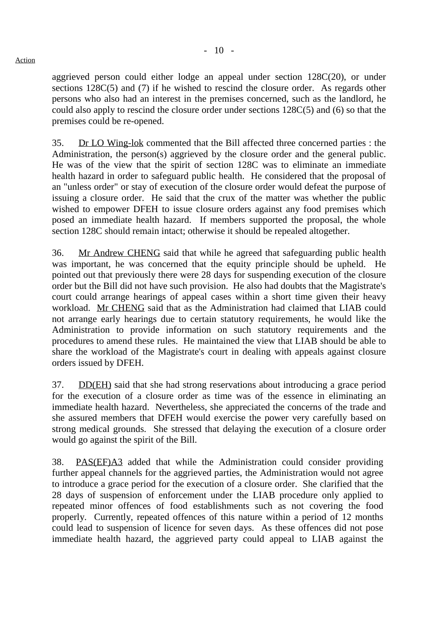aggrieved person could either lodge an appeal under section 128C(20), or under sections 128C(5) and (7) if he wished to rescind the closure order. As regards other persons who also had an interest in the premises concerned, such as the landlord, he could also apply to rescind the closure order under sections 128C(5) and (6) so that the premises could be re-opened.

35. Dr LO Wing-lok commented that the Bill affected three concerned parties : the Administration, the person(s) aggrieved by the closure order and the general public. He was of the view that the spirit of section 128C was to eliminate an immediate health hazard in order to safeguard public health. He considered that the proposal of an "unless order" or stay of execution of the closure order would defeat the purpose of issuing a closure order. He said that the crux of the matter was whether the public wished to empower DFEH to issue closure orders against any food premises which posed an immediate health hazard. If members supported the proposal, the whole section 128C should remain intact; otherwise it should be repealed altogether.

36. Mr Andrew CHENG said that while he agreed that safeguarding public health was important, he was concerned that the equity principle should be upheld. He pointed out that previously there were 28 days for suspending execution of the closure order but the Bill did not have such provision. He also had doubts that the Magistrate's court could arrange hearings of appeal cases within a short time given their heavy workload. Mr CHENG said that as the Administration had claimed that LIAB could not arrange early hearings due to certain statutory requirements, he would like the Administration to provide information on such statutory requirements and the procedures to amend these rules. He maintained the view that LIAB should be able to share the workload of the Magistrate's court in dealing with appeals against closure orders issued by DFEH.

37. DD(EH) said that she had strong reservations about introducing a grace period for the execution of a closure order as time was of the essence in eliminating an immediate health hazard. Nevertheless, she appreciated the concerns of the trade and she assured members that DFEH would exercise the power very carefully based on strong medical grounds. She stressed that delaying the execution of a closure order would go against the spirit of the Bill.

38. PAS(EF)A3 added that while the Administration could consider providing further appeal channels for the aggrieved parties, the Administration would not agree to introduce a grace period for the execution of a closure order. She clarified that the 28 days of suspension of enforcement under the LIAB procedure only applied to repeated minor offences of food establishments such as not covering the food properly. Currently, repeated offences of this nature within a period of 12 months could lead to suspension of licence for seven days. As these offences did not pose immediate health hazard, the aggrieved party could appeal to LIAB against the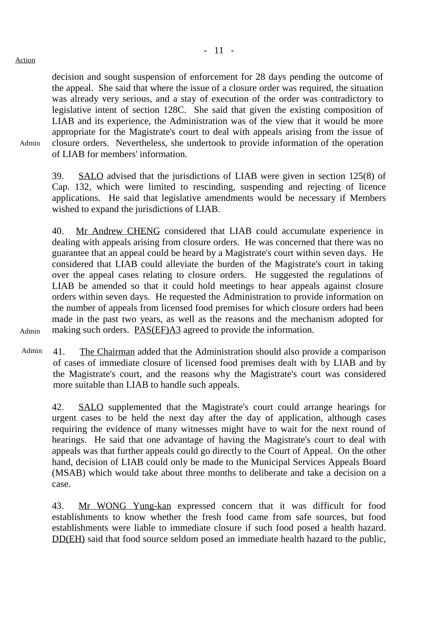Admin

decision and sought suspension of enforcement for 28 days pending the outcome of the appeal. She said that where the issue of a closure order was required, the situation was already very serious, and a stay of execution of the order was contradictory to legislative intent of section 128C. She said that given the existing composition of LIAB and its experience, the Administration was of the view that it would be more appropriate for the Magistrate's court to deal with appeals arising from the issue of closure orders. Nevertheless, she undertook to provide information of the operation of LIAB for members' information.

39. SALO advised that the jurisdictions of LIAB were given in section 125(8) of Cap. 132, which were limited to rescinding, suspending and rejecting of licence applications. He said that legislative amendments would be necessary if Members wished to expand the jurisdictions of LIAB.

40. Mr Andrew CHENG considered that LIAB could accumulate experience in dealing with appeals arising from closure orders. He was concerned that there was no guarantee that an appeal could be heard by a Magistrate's court within seven days. He considered that LIAB could alleviate the burden of the Magistrate's court in taking over the appeal cases relating to closure orders. He suggested the regulations of LIAB be amended so that it could hold meetings to hear appeals against closure orders within seven days. He requested the Administration to provide information on the number of appeals from licensed food premises for which closure orders had been made in the past two years, as well as the reasons and the mechanism adopted for making such orders. **PAS(EF)A3** agreed to provide the information.

Admin

Admin 41. The Chairman added that the Administration should also provide a comparison of cases of immediate closure of licensed food premises dealt with by LIAB and by the Magistrate's court, and the reasons why the Magistrate's court was considered more suitable than LIAB to handle such appeals.

42. SALO supplemented that the Magistrate's court could arrange hearings for urgent cases to be held the next day after the day of application, although cases requiring the evidence of many witnesses might have to wait for the next round of hearings. He said that one advantage of having the Magistrate's court to deal with appeals was that further appeals could go directly to the Court of Appeal. On the other hand, decision of LIAB could only be made to the Municipal Services Appeals Board (MSAB) which would take about three months to deliberate and take a decision on a case.

43. Mr WONG Yung-kan expressed concern that it was difficult for food establishments to know whether the fresh food came from safe sources, but food establishments were liable to immediate closure if such food posed a health hazard. DD(EH) said that food source seldom posed an immediate health hazard to the public,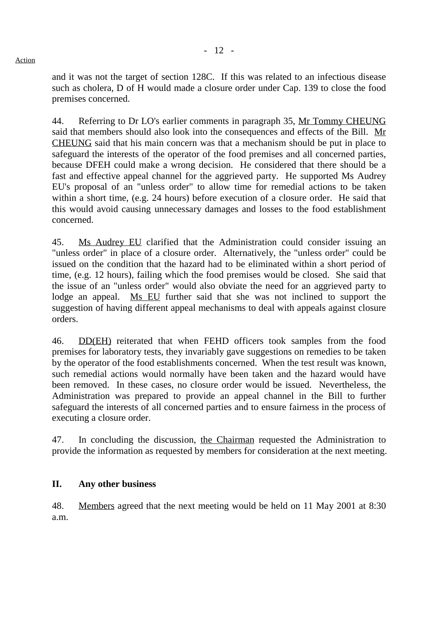and it was not the target of section 128C. If this was related to an infectious disease such as cholera, D of H would made a closure order under Cap. 139 to close the food premises concerned.

44. Referring to Dr LO's earlier comments in paragraph 35, Mr Tommy CHEUNG said that members should also look into the consequences and effects of the Bill. Mr CHEUNG said that his main concern was that a mechanism should be put in place to safeguard the interests of the operator of the food premises and all concerned parties, because DFEH could make a wrong decision. He considered that there should be a fast and effective appeal channel for the aggrieved party. He supported Ms Audrey EU's proposal of an "unless order" to allow time for remedial actions to be taken within a short time, (e.g. 24 hours) before execution of a closure order. He said that this would avoid causing unnecessary damages and losses to the food establishment concerned.

45. Ms Audrey EU clarified that the Administration could consider issuing an "unless order" in place of a closure order. Alternatively, the "unless order" could be issued on the condition that the hazard had to be eliminated within a short period of time, (e.g. 12 hours), failing which the food premises would be closed. She said that the issue of an "unless order" would also obviate the need for an aggrieved party to lodge an appeal. Ms EU further said that she was not inclined to support the suggestion of having different appeal mechanisms to deal with appeals against closure orders.

46. DD(EH) reiterated that when FEHD officers took samples from the food premises for laboratory tests, they invariably gave suggestions on remedies to be taken by the operator of the food establishments concerned. When the test result was known, such remedial actions would normally have been taken and the hazard would have been removed. In these cases, no closure order would be issued. Nevertheless, the Administration was prepared to provide an appeal channel in the Bill to further safeguard the interests of all concerned parties and to ensure fairness in the process of executing a closure order.

47. In concluding the discussion, the Chairman requested the Administration to provide the information as requested by members for consideration at the next meeting.

# **II. Any other business**

48. Members agreed that the next meeting would be held on 11 May 2001 at 8:30 a.m.